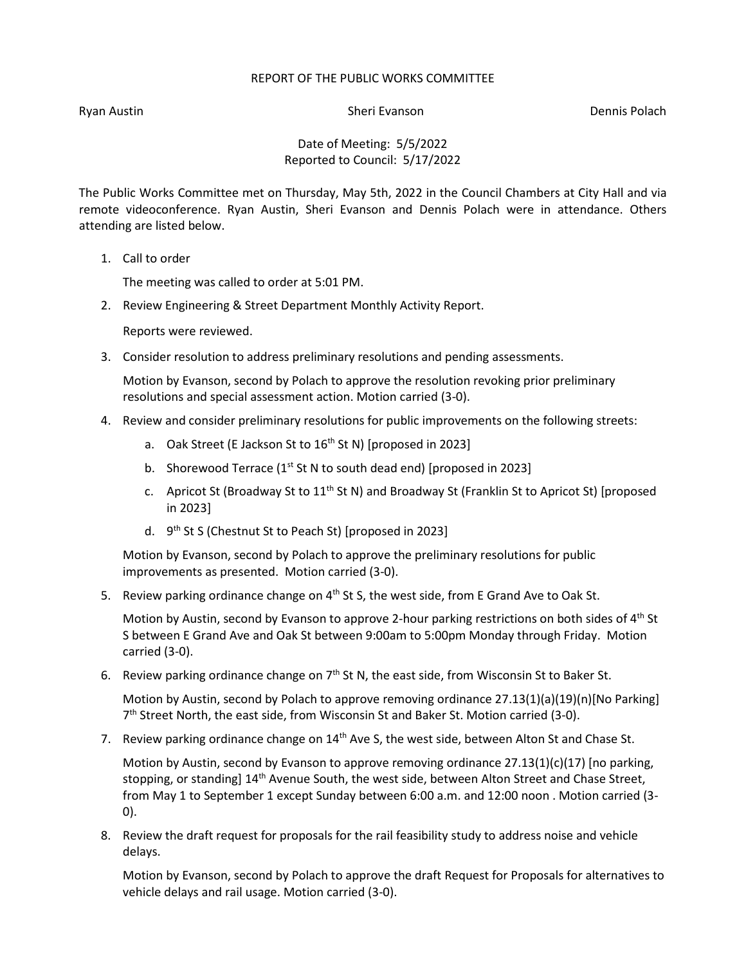## REPORT OF THE PUBLIC WORKS COMMITTEE

Ryan Austin Number 2012 and Sheri Evanson Number 2013 and Dennis Polach

Date of Meeting: 5/5/2022 Reported to Council: 5/17/2022

The Public Works Committee met on Thursday, May 5th, 2022 in the Council Chambers at City Hall and via remote videoconference. Ryan Austin, Sheri Evanson and Dennis Polach were in attendance. Others attending are listed below.

1. Call to order

The meeting was called to order at 5:01 PM.

2. Review Engineering & Street Department Monthly Activity Report.

Reports were reviewed.

3. Consider resolution to address preliminary resolutions and pending assessments.

Motion by Evanson, second by Polach to approve the resolution revoking prior preliminary resolutions and special assessment action. Motion carried (3-0).

- 4. Review and consider preliminary resolutions for public improvements on the following streets:
	- a. Oak Street (E Jackson St to  $16<sup>th</sup>$  St N) [proposed in 2023]
	- b. Shorewood Terrace ( $1^{st}$  St N to south dead end) [proposed in 2023]
	- c. Apricot St (Broadway St to  $11^{th}$  St N) and Broadway St (Franklin St to Apricot St) [proposed in 2023]
	- d. 9th St S (Chestnut St to Peach St) [proposed in 2023]

Motion by Evanson, second by Polach to approve the preliminary resolutions for public improvements as presented. Motion carried (3-0).

5. Review parking ordinance change on  $4<sup>th</sup>$  St S, the west side, from E Grand Ave to Oak St.

Motion by Austin, second by Evanson to approve 2-hour parking restrictions on both sides of 4<sup>th</sup> St S between E Grand Ave and Oak St between 9:00am to 5:00pm Monday through Friday. Motion carried (3-0).

6. Review parking ordinance change on  $7<sup>th</sup>$  St N, the east side, from Wisconsin St to Baker St.

Motion by Austin, second by Polach to approve removing ordinance 27.13(1)(a)(19)(n)[No Parking] 7<sup>th</sup> Street North, the east side, from Wisconsin St and Baker St. Motion carried (3-0).

7. Review parking ordinance change on  $14<sup>th</sup>$  Ave S, the west side, between Alton St and Chase St.

Motion by Austin, second by Evanson to approve removing ordinance 27.13(1)(c)(17) [no parking, stopping, or standing] 14<sup>th</sup> Avenue South, the west side, between Alton Street and Chase Street, from May 1 to September 1 except Sunday between 6:00 a.m. and 12:00 noon . Motion carried (3- 0).

8. Review the draft request for proposals for the rail feasibility study to address noise and vehicle delays.

Motion by Evanson, second by Polach to approve the draft Request for Proposals for alternatives to vehicle delays and rail usage. Motion carried (3-0).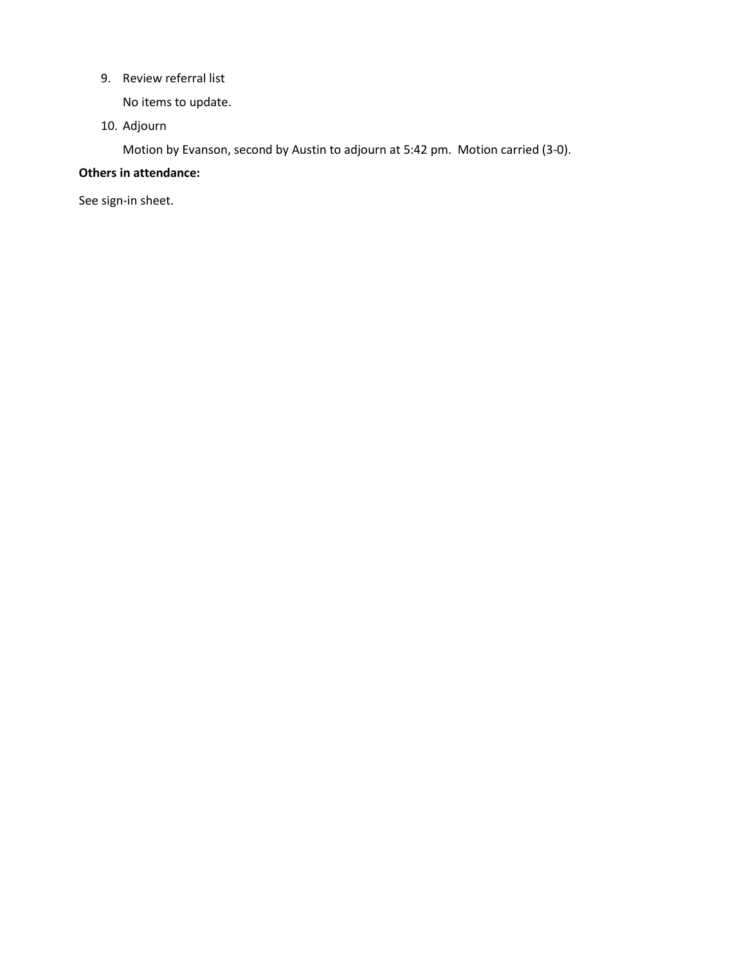9. Review referral list

No items to update.

10. Adjourn

Motion by Evanson, second by Austin to adjourn at 5:42 pm. Motion carried (3-0).

## **Others in attendance:**

See sign-in sheet.